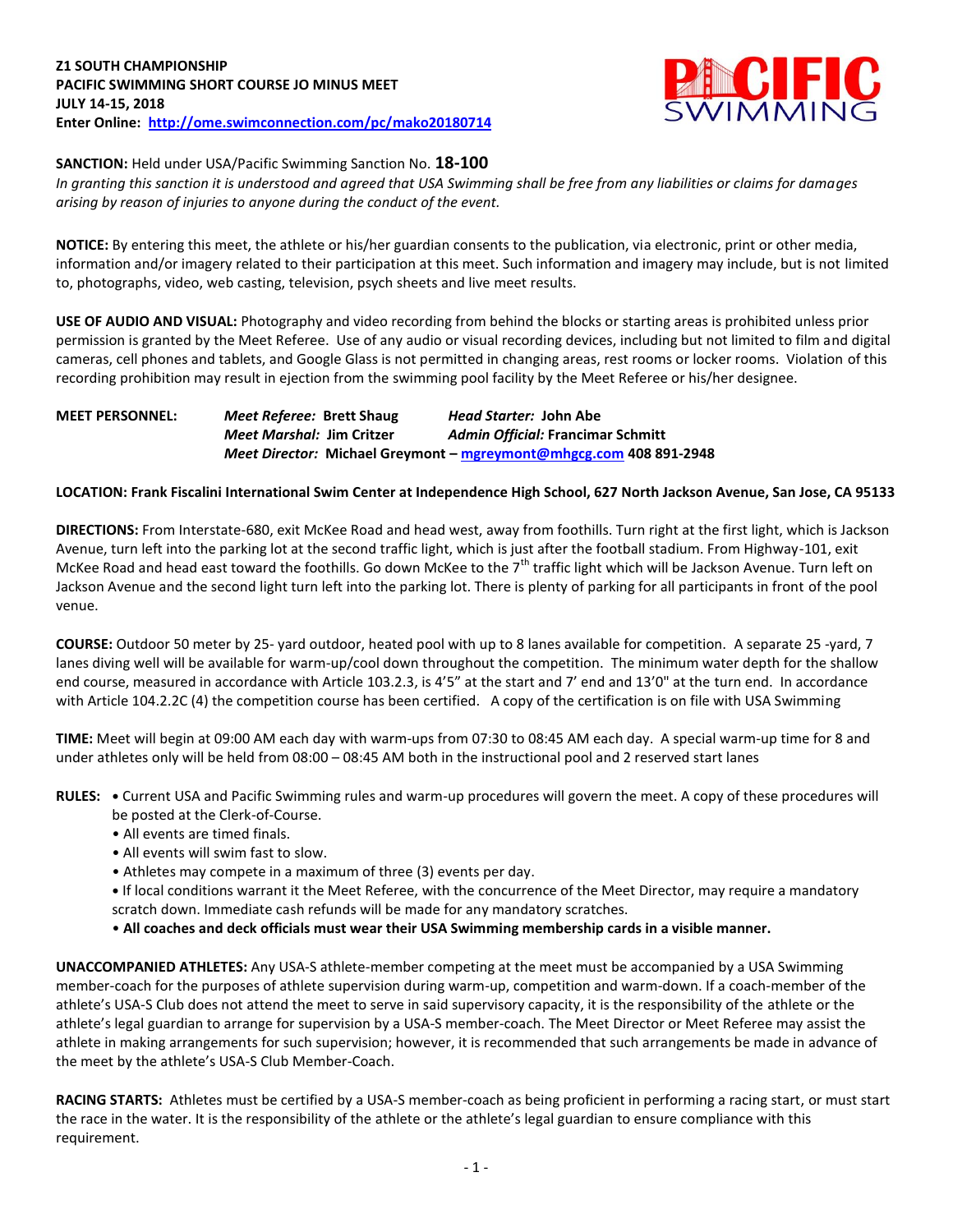

### **SANCTION:** Held under USA/Pacific Swimming Sanction No. **18-100**

*In granting this sanction it is understood and agreed that USA Swimming shall be free from any liabilities or claims for damages arising by reason of injuries to anyone during the conduct of the event.* 

**NOTICE:** By entering this meet, the athlete or his/her guardian consents to the publication, via electronic, print or other media, information and/or imagery related to their participation at this meet. Such information and imagery may include, but is not limited to, photographs, video, web casting, television, psych sheets and live meet results.

**USE OF AUDIO AND VISUAL:** Photography and video recording from behind the blocks or starting areas is prohibited unless prior permission is granted by the Meet Referee. Use of any audio or visual recording devices, including but not limited to film and digital cameras, cell phones and tablets, and Google Glass is not permitted in changing areas, rest rooms or locker rooms. Violation of this recording prohibition may result in ejection from the swimming pool facility by the Meet Referee or his/her designee.

# **MEET PERSONNEL:** *Meet Referee:* **Brett Shaug** *Head Starter:* **John Abe** *Meet Marshal:* **Jim Critzer** *Admin Official:* **Francimar Schmitt** *Meet Director:* **Michael Greymont – [mgreymont@mhgcg.com](mailto:mgreymont@mhgcg.com) 408 891-2948**

## **LOCATION: Frank Fiscalini International Swim Center at Independence High School, 627 North Jackson Avenue, San Jose, CA 95133**

**DIRECTIONS:** From Interstate-680, exit McKee Road and head west, away from foothills. Turn right at the first light, which is Jackson Avenue, turn left into the parking lot at the second traffic light, which is just after the football stadium. From Highway-101, exit McKee Road and head east toward the foothills. Go down McKee to the  $7<sup>th</sup>$  traffic light which will be Jackson Avenue. Turn left on Jackson Avenue and the second light turn left into the parking lot. There is plenty of parking for all participants in front of the pool venue.

**COURSE:** Outdoor 50 meter by 25- yard outdoor, heated pool with up to 8 lanes available for competition.A separate 25 -yard, 7 lanes diving well will be available for warm-up/cool down throughout the competition. The minimum water depth for the shallow end course, measured in accordance with Article 103.2.3, is 4'5" at the start and 7' end and 13'0" at the turn end. In accordance with Article 104.2.2C (4) the competition course has been certified. A copy of the certification is on file with USA Swimming

**TIME:** Meet will begin at 09:00 AM each day with warm-ups from 07:30 to 08:45 AM each day. A special warm-up time for 8 and under athletes only will be held from 08:00 – 08:45 AM both in the instructional pool and 2 reserved start lanes

**RULES: •** Current USA and Pacific Swimming rules and warm-up procedures will govern the meet. A copy of these procedures will be posted at the Clerk-of-Course.

- All events are timed finals.
- All events will swim fast to slow.
- Athletes may compete in a maximum of three (3) events per day.

**•** If local conditions warrant it the Meet Referee, with the concurrence of the Meet Director, may require a mandatory scratch down. Immediate cash refunds will be made for any mandatory scratches.

• **All coaches and deck officials must wear their USA Swimming membership cards in a visible manner.** 

**UNACCOMPANIED ATHLETES:** Any USA-S athlete-member competing at the meet must be accompanied by a USA Swimming member-coach for the purposes of athlete supervision during warm-up, competition and warm-down. If a coach-member of the athlete's USA-S Club does not attend the meet to serve in said supervisory capacity, it is the responsibility of the athlete or the athlete's legal guardian to arrange for supervision by a USA-S member-coach. The Meet Director or Meet Referee may assist the athlete in making arrangements for such supervision; however, it is recommended that such arrangements be made in advance of the meet by the athlete's USA-S Club Member-Coach.

**RACING STARTS:** Athletes must be certified by a USA-S member-coach as being proficient in performing a racing start, or must start the race in the water. It is the responsibility of the athlete or the athlete's legal guardian to ensure compliance with this requirement.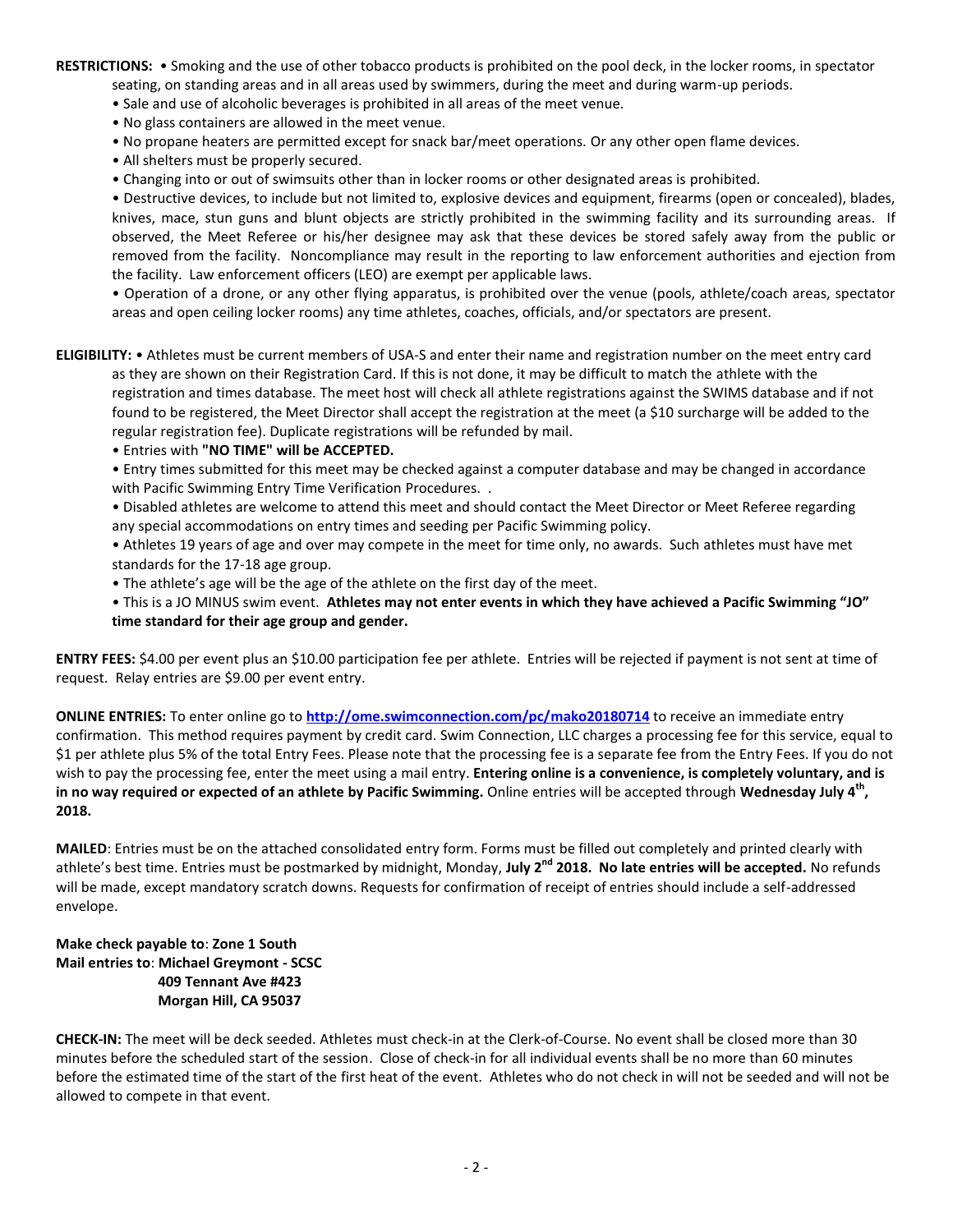**RESTRICTIONS:** • Smoking and the use of other tobacco products is prohibited on the pool deck, in the locker rooms, in spectator seating, on standing areas and in all areas used by swimmers, during the meet and during warm-up periods.

- Sale and use of alcoholic beverages is prohibited in all areas of the meet venue.
- No glass containers are allowed in the meet venue.
- No propane heaters are permitted except for snack bar/meet operations. Or any other open flame devices.
- All shelters must be properly secured.
- Changing into or out of swimsuits other than in locker rooms or other designated areas is prohibited.

• Destructive devices, to include but not limited to, explosive devices and equipment, firearms (open or concealed), blades, knives, mace, stun guns and blunt objects are strictly prohibited in the swimming facility and its surrounding areas. If observed, the Meet Referee or his/her designee may ask that these devices be stored safely away from the public or removed from the facility. Noncompliance may result in the reporting to law enforcement authorities and ejection from the facility. Law enforcement officers (LEO) are exempt per applicable laws.

• Operation of a drone, or any other flying apparatus, is prohibited over the venue (pools, athlete/coach areas, spectator areas and open ceiling locker rooms) any time athletes, coaches, officials, and/or spectators are present.

**ELIGIBILITY:** • Athletes must be current members of USA-S and enter their name and registration number on the meet entry card as they are shown on their Registration Card. If this is not done, it may be difficult to match the athlete with the registration and times database. The meet host will check all athlete registrations against the SWIMS database and if not found to be registered, the Meet Director shall accept the registration at the meet (a \$10 surcharge will be added to the regular registration fee). Duplicate registrations will be refunded by mail.

• Entries with **"NO TIME" will be ACCEPTED.**

• Entry times submitted for this meet may be checked against a computer database and may be changed in accordance with Pacific Swimming Entry Time Verification Procedures. .

• Disabled athletes are welcome to attend this meet and should contact the Meet Director or Meet Referee regarding any special accommodations on entry times and seeding per Pacific Swimming policy.

• Athletes 19 years of age and over may compete in the meet for time only, no awards. Such athletes must have met standards for the 17-18 age group.

• The athlete's age will be the age of the athlete on the first day of the meet.

• This is a JO MINUS swim event. **Athletes may not enter events in which they have achieved a Pacific Swimming "JO" time standard for their age group and gender.**

**ENTRY FEES:** \$4.00 per event plus an \$10.00 participation fee per athlete. Entries will be rejected if payment is not sent at time of request. Relay entries are \$9.00 per event entry.

**ONLINE ENTRIES:** To enter online go to **<http://ome.swimconnection.com/pc/mako20180714>** to receive an immediate entry confirmation. This method requires payment by credit card. Swim Connection, LLC charges a processing fee for this service, equal to \$1 per athlete plus 5% of the total Entry Fees. Please note that the processing fee is a separate fee from the Entry Fees. If you do not wish to pay the processing fee, enter the meet using a mail entry. **Entering online is a convenience, is completely voluntary, and is in no way required or expected of an athlete by Pacific Swimming.** Online entries will be accepted through **Wednesday July 4th , 2018.**

**MAILED**: Entries must be on the attached consolidated entry form. Forms must be filled out completely and printed clearly with athlete's best time. Entries must be postmarked by midnight, Monday, **July 2nd 2018. No late entries will be accepted.** No refunds will be made, except mandatory scratch downs. Requests for confirmation of receipt of entries should include a self-addressed envelope.

### **Make check payable to**: **Zone 1 South Mail entries to**: **Michael Greymont - SCSC 409 Tennant Ave #423 Morgan Hill, CA 95037**

**CHECK-IN:** The meet will be deck seeded. Athletes must check-in at the Clerk-of-Course. No event shall be closed more than 30 minutes before the scheduled start of the session. Close of check-in for all individual events shall be no more than 60 minutes before the estimated time of the start of the first heat of the event. Athletes who do not check in will not be seeded and will not be allowed to compete in that event.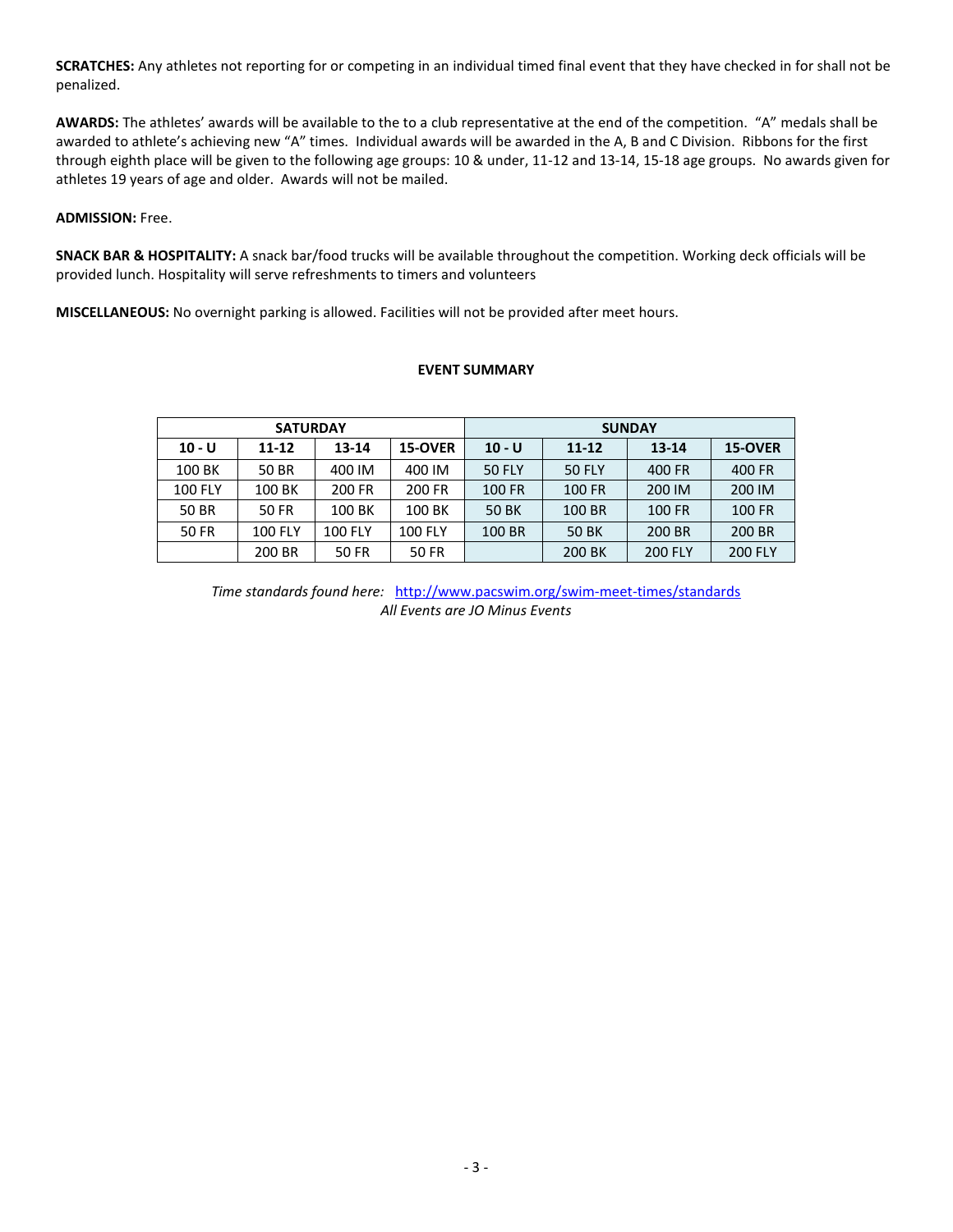**SCRATCHES:** Any athletes not reporting for or competing in an individual timed final event that they have checked in for shall not be penalized.

**AWARDS:** The athletes' awards will be available to the to a club representative at the end of the competition. "A" medals shall be awarded to athlete's achieving new "A" times. Individual awards will be awarded in the A, B and C Division. Ribbons for the first through eighth place will be given to the following age groups: 10 & under, 11-12 and 13-14, 15-18 age groups. No awards given for athletes 19 years of age and older. Awards will not be mailed.

#### **ADMISSION:** Free.

**SNACK BAR & HOSPITALITY:** A snack bar/food trucks will be available throughout the competition. Working deck officials will be provided lunch. Hospitality will serve refreshments to timers and volunteers

**MISCELLANEOUS:** No overnight parking is allowed. Facilities will not be provided after meet hours.

### **EVENT SUMMARY**

|                | <b>SATURDAY</b> |                |                | <b>SUNDAY</b> |               |                |                |  |  |
|----------------|-----------------|----------------|----------------|---------------|---------------|----------------|----------------|--|--|
| $10 - U$       | 11-12           | 13-14          | 15-OVER        | $10 - U$      | $11 - 12$     | $13 - 14$      | 15-OVER        |  |  |
| 100 BK         | 50 BR           | 400 IM         | 400 IM         | <b>50 FLY</b> | <b>50 FLY</b> | 400 FR         | 400 FR         |  |  |
| <b>100 FLY</b> | 100 BK          | 200 FR         | 200 FR         | <b>100 FR</b> | <b>100 FR</b> | 200 IM         | 200 IM         |  |  |
| 50 BR          | <b>50 FR</b>    | 100 BK         | 100 BK         | 50 BK         | 100 BR        | <b>100 FR</b>  | <b>100 FR</b>  |  |  |
| <b>50 FR</b>   | <b>100 FLY</b>  | <b>100 FLY</b> | <b>100 FLY</b> | 100 BR        | 50 BK         | 200 BR         | 200 BR         |  |  |
|                | 200 BR          | 50 FR          | 50 FR          |               | 200 BK        | <b>200 FLY</b> | <b>200 FLY</b> |  |  |

*Time standards found here:* <http://www.pacswim.org/swim-meet-times/standards> *All Events are JO Minus Events*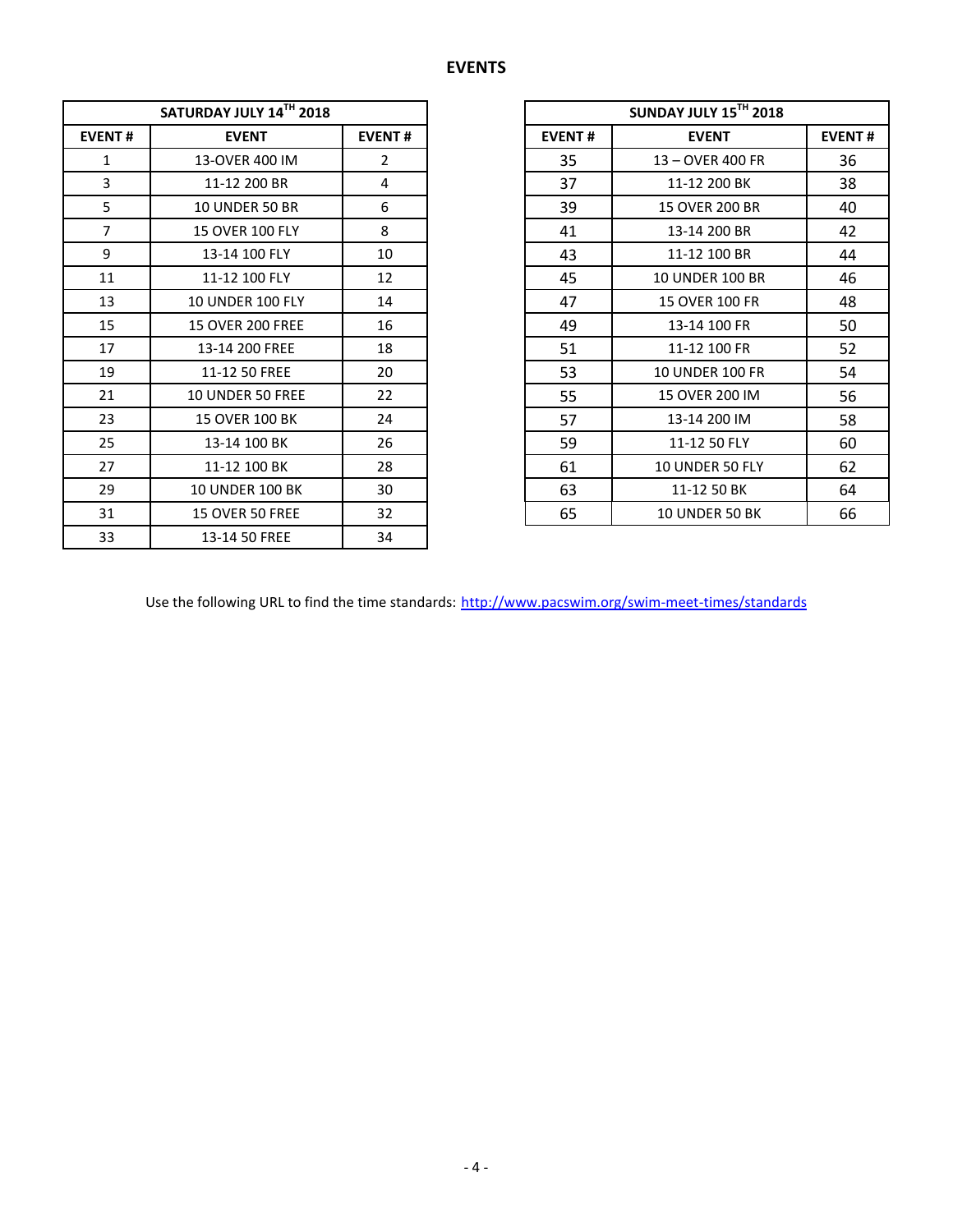|                | SATURDAY JULY 14TH 2018       |                |               | SUNDAY JULY 15TH 2018  |  |  |
|----------------|-------------------------------|----------------|---------------|------------------------|--|--|
| <b>EVENT#</b>  | <b>EVENT#</b><br><b>EVENT</b> |                | <b>EVENT#</b> | <b>EVENT</b>           |  |  |
| $\mathbf{1}$   | 13-OVER 400 IM                | $\overline{2}$ | 35            | 13 - OVER 400 FR       |  |  |
| 3              | 11-12 200 BR                  | 4              | 37            | 11-12 200 BK           |  |  |
| 5              | <b>10 UNDER 50 BR</b>         | 6              | 39            | 15 OVER 200 BR         |  |  |
| $\overline{7}$ | <b>15 OVER 100 FLY</b>        | 8              | 41            | 13-14 200 BR           |  |  |
| 9              | 13-14 100 FLY                 | 10             | 43            | 11-12 100 BR           |  |  |
| 11             | 11-12 100 FLY                 | 12             | 45            | <b>10 UNDER 100 BR</b> |  |  |
| 13             | <b>10 UNDER 100 FLY</b>       | 14             | 47            | <b>15 OVER 100 FR</b>  |  |  |
| 15             | <b>15 OVER 200 FREE</b>       | 16             | 49            | 13-14 100 FR           |  |  |
| 17             | 13-14 200 FREE                | 18             | 51            | 11-12 100 FR           |  |  |
| 19             | 11-12 50 FREE                 | 20             | 53            | <b>10 UNDER 100 FR</b> |  |  |
| 21             | <b>10 UNDER 50 FREE</b>       | 22             | 55            | 15 OVER 200 IM         |  |  |
| 23             | 15 OVER 100 BK                | 24             | 57            | 13-14 200 IM           |  |  |
| 25             | 13-14 100 BK                  | 26             | 59            | 11-12 50 FLY           |  |  |
| 27             | 11-12 100 BK                  | 28             | 61            | 10 UNDER 50 FLY        |  |  |
| 29             | <b>10 UNDER 100 BK</b>        | 30             | 63            | 11-12 50 BK            |  |  |
| 31             | 15 OVER 50 FREE               | 32             | 65            | 10 UNDER 50 BK         |  |  |
| 33             | 13-14 50 FREE                 | 34             |               |                        |  |  |

| SATURDAY JULY 14TH 2018 |                         |                |  |  |
|-------------------------|-------------------------|----------------|--|--|
| <b>EVENT#</b>           | <b>EVENT</b>            | <b>EVENT#</b>  |  |  |
| $\mathbf{1}$            | 13-OVER 400 IM          | $\overline{2}$ |  |  |
| 3                       | 11-12 200 BR            | 4              |  |  |
| 5                       | <b>10 UNDER 50 BR</b>   | 6              |  |  |
| $\overline{7}$          | <b>15 OVER 100 FLY</b>  | 8              |  |  |
| 9                       | 13-14 100 FLY           | 10             |  |  |
| 11                      | 11-12 100 FLY           | 12             |  |  |
| 13                      | <b>10 UNDER 100 FLY</b> | 14             |  |  |
| 15                      | <b>15 OVER 200 FREE</b> | 16             |  |  |
| 17                      | 13-14 200 FREE          | 18             |  |  |
| 19                      | 11-12 50 FREE           | 20             |  |  |
| 21                      | 10 UNDER 50 FREE        | 22             |  |  |
| 23                      | 15 OVER 100 BK          | 24             |  |  |
| 25                      | 13-14 100 BK            | 26             |  |  |
| 27                      | 11-12 100 BK            | 28             |  |  |
| 29                      | <b>10 UNDER 100 BK</b>  | 30             |  |  |
| 31                      | 15 OVER 50 FREE         | 32             |  |  |

Use the following URL to find the time standards: <http://www.pacswim.org/swim-meet-times/standards>